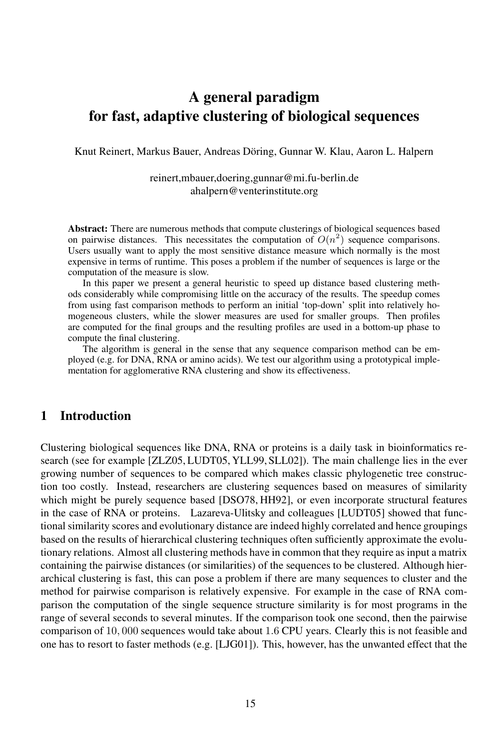# **A general paradigm for fast, adaptive clustering of biological sequences**

Knut Reinert, Markus Bauer, Andreas Döring, Gunnar W. Klau, Aaron L. Halpern

#### reinert,mbauer,doering,gunnar@mi.fu-berlin.de ahalpern@venterinstitute.org

**Abstract:** There are numerous methods that compute clusterings of biological sequences based on pairwise distances. This necessitates the computation of  $O(n^2)$  sequence comparisons. Users usually want to apply the most sensitive distance measure which normally is the most expensive in terms of runtime. This poses a problem if the number of sequences is large or the computation of the measure is slow.

In this paper we present a general heuristic to speed up distance based clustering methods considerably while compromising little on the accuracy of the results. The speedup comes from using fast comparison methods to perform an initial 'top-down' split into relatively homogeneous clusters, while the slower measures are used for smaller groups. Then profiles are computed for the final groups and the resulting profiles are used in a bottom-up phase to compute the final clustering.

The algorithm is general in the sense that any sequence comparison method can be employed (e.g. for DNA, RNA or amino acids). We test our algorithm using a prototypical implementation for agglomerative RNA clustering and show its effectiveness.

## **1 Introduction**

Clustering biological sequences like DNA, RNA or proteins is a daily task in bioinformatics research (see for example [ZLZ05, LUDT05, YLL99, SLL02]). The main challenge lies in the ever growing number of sequences to be compared which makes classic phylogenetic tree construction too costly. Instead, researchers are clustering sequences based on measures of similarity which might be purely sequence based [DSO78, HH92], or even incorporate structural features in the case of RNA or proteins. Lazareva-Ulitsky and colleagues [LUDT05] showed that functional similarity scores and evolutionary distance are indeed highly correlated and hence groupings based on the results of hierarchical clustering techniques often sufficiently approximate the evolutionary relations. Almost all clustering methods have in common that they require as input a matrix containing the pairwise distances (or similarities) of the sequences to be clustered. Although hierarchical clustering is fast, this can pose a problem if there are many sequences to cluster and the method for pairwise comparison is relatively expensive. For example in the case of RNA comparison the computation of the single sequence structure similarity is for most programs in the range of several seconds to several minutes. If the comparison took one second, then the pairwise comparison of 10, 000 sequences would take about 1.6 CPU years. Clearly this is not feasible and one has to resort to faster methods (e.g. [LJG01]). This, however, has the unwanted effect that the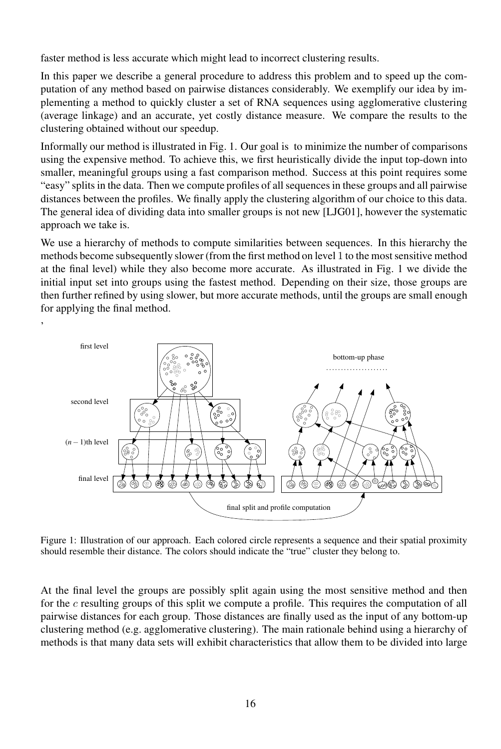faster method is less accurate which might lead to incorrect clustering results.

'

In this paper we describe a general procedure to address this problem and to speed up the computation of any method based on pairwise distances considerably. We exemplify our idea by implementing a method to quickly cluster a set of RNA sequences using agglomerative clustering (average linkage) and an accurate, yet costly distance measure. We compare the results to the clustering obtained without our speedup.

Informally our method is illustrated in Fig. 1. Our goal is to minimize the number of comparisons using the expensive method. To achieve this, we first heuristically divide the input top-down into smaller, meaningful groups using a fast comparison method. Success at this point requires some "easy" splits in the data. Then we compute profiles of all sequences in these groups and all pairwise distances between the profiles. We finally apply the clustering algorithm of our choice to this data. The general idea of dividing data into smaller groups is not new [LJG01], however the systematic approach we take is.

We use a hierarchy of methods to compute similarities between sequences. In this hierarchy the methods become subsequently slower (from the first method on level 1 to the most sensitive method at the final level) while they also become more accurate. As illustrated in Fig. 1 we divide the initial input set into groups using the fastest method. Depending on their size, those groups are then further refined by using slower, but more accurate methods, until the groups are small enough for applying the final method.



Figure 1: Illustration of our approach. Each colored circle represents a sequence and their spatial proximity should resemble their distance. The colors should indicate the "true" cluster they belong to.

At the final level the groups are possibly split again using the most sensitive method and then for the  $c$  resulting groups of this split we compute a profile. This requires the computation of all pairwise distances for each group. Those distances are finally used as the input of any bottom-up clustering method (e.g. agglomerative clustering). The main rationale behind using a hierarchy of methods is that many data sets will exhibit characteristics that allow them to be divided into large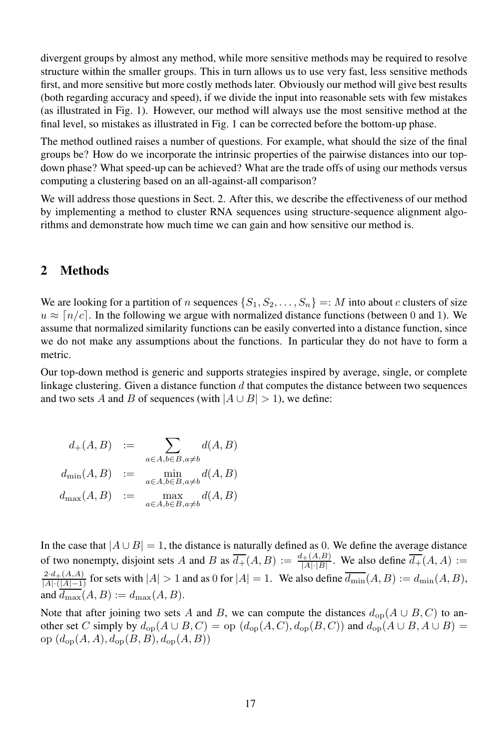divergent groups by almost any method, while more sensitive methods may be required to resolve structure within the smaller groups. This in turn allows us to use very fast, less sensitive methods first, and more sensitive but more costly methods later. Obviously our method will give best results (both regarding accuracy and speed), if we divide the input into reasonable sets with few mistakes (as illustrated in Fig. 1). However, our method will always use the most sensitive method at the final level, so mistakes as illustrated in Fig. 1 can be corrected before the bottom-up phase.

The method outlined raises a number of questions. For example, what should the size of the final groups be? How do we incorporate the intrinsic properties of the pairwise distances into our topdown phase? What speed-up can be achieved? What are the trade offs of using our methods versus computing a clustering based on an all-against-all comparison?

We will address those questions in Sect. 2. After this, we describe the effectiveness of our method by implementing a method to cluster RNA sequences using structure-sequence alignment algorithms and demonstrate how much time we can gain and how sensitive our method is.

## **2 Methods**

We are looking for a partition of n sequences  $\{S_1, S_2, \ldots, S_n\} =: M$  into about c clusters of size  $u \approx [n/c]$ . In the following we argue with normalized distance functions (between 0 and 1). We assume that normalized similarity functions can be easily converted into a distance function, since we do not make any assumptions about the functions. In particular they do not have to form a metric.

Our top-down method is generic and supports strategies inspired by average, single, or complete linkage clustering. Given a distance function  $d$  that computes the distance between two sequences and two sets A and B of sequences (with  $|A \cup B| > 1$ ), we define:

| $d_{+}(A, B) :=$    | $\sum d(A, B)$<br>$a \in A, b \in B, a \neq b$ |
|---------------------|------------------------------------------------|
| $d_{\min}(A, B) :=$ | $\min_{a \in A, b \in B, a \neq b} d(A, B)$    |
| $d_{\max}(A, B) :=$ | $\max_{a \in A, b \in B, a \neq b} d(A, B)$    |

In the case that  $|A \cup B| = 1$ , the distance is naturally defined as 0. We define the average distance of two nonempty, disjoint sets A and B as  $\overline{d_+}(A, B) := \frac{d_+(A, B)}{|A| \cdot |B|}$  $\frac{A_+(A,B)}{|A|\cdot|B|}$ . We also define  $d_+(A,A) :=$  $\frac{2 \cdot d_+(A,A)}{|A|\cdot (|A|-1)}$  for sets with  $|A| > 1$  and as 0 for  $|A| = 1$ . We also define  $\overline{d_{\min}}(A, B) := d_{\min}(A, B)$ , and  $\overline{d_{\max}}(A, B) := d_{\max}(A, B)$ .

Note that after joining two sets A and B, we can compute the distances  $d_{op}(A \cup B, C)$  to another set C simply by  $d_{op}(A \cup B, C) =$  op  $(d_{op}(A, C), d_{op}(B, C))$  and  $d_{op}(A \cup B, A \cup B) =$ op  $(d_{op}(A, A), d_{op}(B, B), d_{op}(A, B))$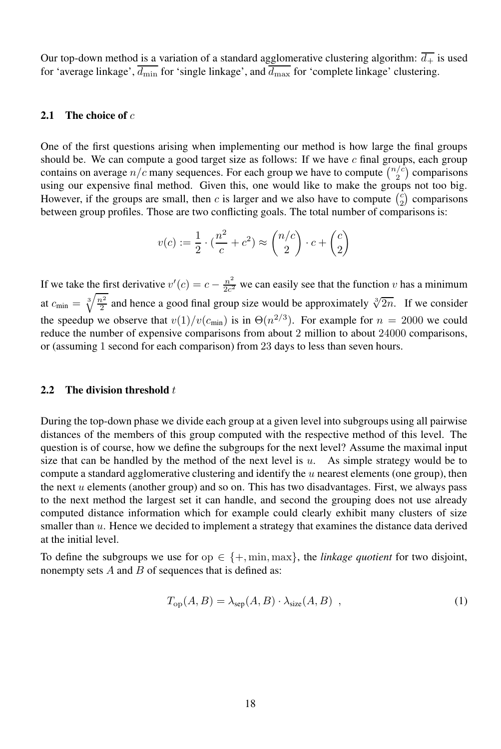Our top-down method is a variation of a standard agglomerative clustering algorithm:  $\overline{d_+}$  is used for 'average linkage',  $\overline{d_{\min}}$  for 'single linkage', and  $\overline{d_{\max}}$  for 'complete linkage' clustering.

#### **2.1 The choice of** c

One of the first questions arising when implementing our method is how large the final groups should be. We can compute a good target size as follows: If we have  $c$  final groups, each group contains on average  $n/c$  many sequences. For each group we have to compute  $\binom{n/c}{2}$  comparisons using our expensive final method. Given this, one would like to make the groups not too big. However, if the groups are small, then c is larger and we also have to compute  $\binom{c}{2}$  comparisons between group profiles. Those are two conflicting goals. The total number of comparisons is:

$$
v(c) := \frac{1}{2} \cdot \left(\frac{n^2}{c} + c^2\right) \approx \binom{n/c}{2} \cdot c + \binom{c}{2}
$$

If we take the first derivative  $v'(c) = c - \frac{n^2}{2c^2}$  $\frac{n}{2c^2}$  we can easily see that the function v has a minimum at  $c_{\min} = \sqrt[3]{\frac{n^2}{2}}$  and hence a good final group size would be approximately  $\sqrt[3]{2n}$ . If we consider the speedup we observe that  $v(1)/v(c_{\min})$  is in  $\Theta(n^{2/3})$ . For example for  $n = 2000$  we could reduce the number of expensive comparisons from about 2 million to about 24000 comparisons, or (assuming 1 second for each comparison) from 23 days to less than seven hours.

#### **2.2** The division threshold t

During the top-down phase we divide each group at a given level into subgroups using all pairwise distances of the members of this group computed with the respective method of this level. The question is of course, how we define the subgroups for the next level? Assume the maximal input size that can be handled by the method of the next level is  $u$ . As simple strategy would be to compute a standard agglomerative clustering and identify the  $u$  nearest elements (one group), then the next  $u$  elements (another group) and so on. This has two disadvantages. First, we always pass to the next method the largest set it can handle, and second the grouping does not use already computed distance information which for example could clearly exhibit many clusters of size smaller than  $u$ . Hence we decided to implement a strategy that examines the distance data derived at the initial level.

To define the subgroups we use for op  $\in \{+, \min, \max\}$ , the *linkage quotient* for two disjoint, nonempty sets  $A$  and  $B$  of sequences that is defined as:

$$
T_{\rm op}(A, B) = \lambda_{\rm sep}(A, B) \cdot \lambda_{\rm size}(A, B) \quad , \tag{1}
$$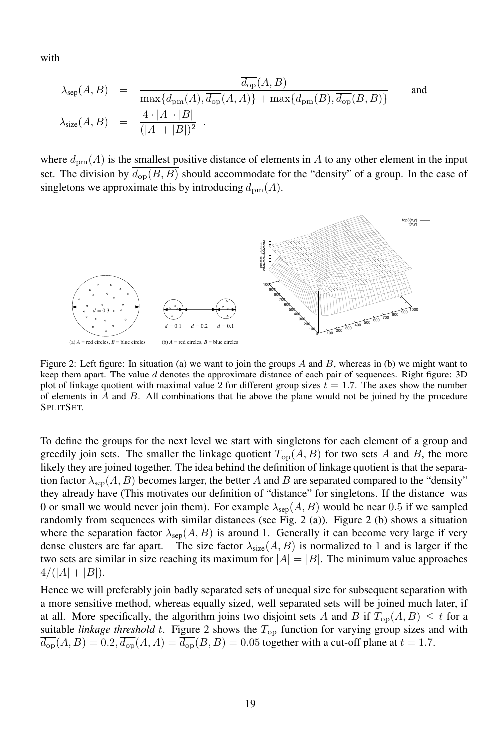with

$$
\lambda_{\rm sep}(A, B) = \frac{\overline{d_{\rm op}}(A, B)}{\max\{d_{\rm pm}(A), \overline{d_{\rm op}}(A, A)\} + \max\{d_{\rm pm}(B), \overline{d_{\rm op}}(B, B)\}}
$$
 and  

$$
\lambda_{\rm size}(A, B) = \frac{4 \cdot |A| \cdot |B|}{(|A| + |B|)^2}.
$$

where  $d_{\text{pm}}(A)$  is the smallest positive distance of elements in A to any other element in the input set. The division by  $\overline{d_{\text{op}}(B, B)}$  should accommodate for the "density" of a group. In the case of singletons we approximate this by introducing  $d_{\text{pm}}(A)$ .



Figure 2: Left figure: In situation (a) we want to join the groups A and B, whereas in (b) we might want to keep them apart. The value d denotes the approximate distance of each pair of sequences. Right figure: 3D plot of linkage quotient with maximal value 2 for different group sizes  $t = 1.7$ . The axes show the number of elements in  $A$  and  $B$ . All combinations that lie above the plane would not be joined by the procedure SPLITSET.

To define the groups for the next level we start with singletons for each element of a group and greedily join sets. The smaller the linkage quotient  $T_{op}(A, B)$  for two sets A and B, the more likely they are joined together. The idea behind the definition of linkage quotient is that the separation factor  $\lambda_{\rm sep}(A, B)$  becomes larger, the better A and B are separated compared to the "density" they already have (This motivates our definition of "distance" for singletons. If the distance was 0 or small we would never join them). For example  $\lambda_{\text{sep}}(A, B)$  would be near 0.5 if we sampled randomly from sequences with similar distances (see Fig. 2 (a)). Figure 2 (b) shows a situation where the separation factor  $\lambda_{\rm sep}(A, B)$  is around 1. Generally it can become very large if very dense clusters are far apart. The size factor  $\lambda_{size}(A, B)$  is normalized to 1 and is larger if the two sets are similar in size reaching its maximum for  $|A| = |B|$ . The minimum value approaches  $4/(|A|+|B|).$ 

Hence we will preferably join badly separated sets of unequal size for subsequent separation with a more sensitive method, whereas equally sized, well separated sets will be joined much later, if at all. More specifically, the algorithm joins two disjoint sets A and B if  $T_{op}(A, B) \leq t$  for a suitable *linkage threshold* t. Figure 2 shows the Top function for varying group sizes and with  $\overline{d_{\rm op}}(A, B) = 0.2, \overline{d_{\rm op}}(A, A) = \overline{d_{\rm op}}(B, B) = 0.05$  together with a cut-off plane at  $t = 1.7$ .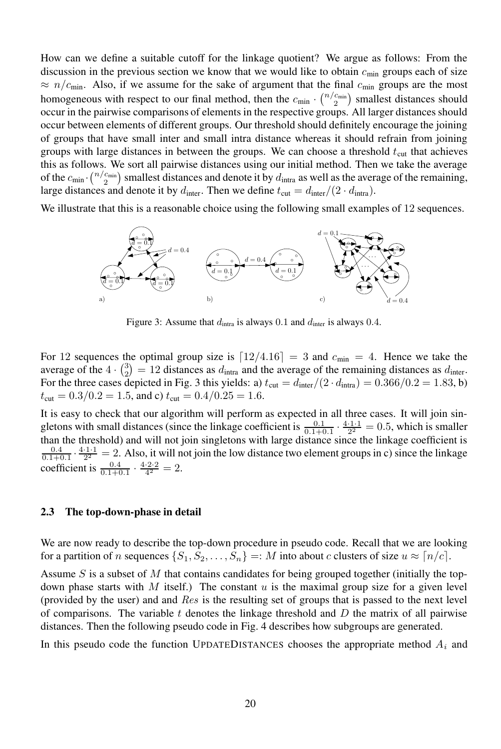How can we define a suitable cutoff for the linkage quotient? We argue as follows: From the discussion in the previous section we know that we would like to obtain  $c_{\text{min}}$  groups each of size  $\approx n/c_{\text{min}}$ . Also, if we assume for the sake of argument that the final  $c_{\text{min}}$  groups are the most homogeneous with respect to our final method, then the  $c_{\min} \cdot {n/c_{\min} \choose 2}$  smallest distances should occur in the pairwise comparisons of elements in the respective groups. All larger distances should occur between elements of different groups. Our threshold should definitely encourage the joining of groups that have small inter and small intra distance whereas it should refrain from joining groups with large distances in between the groups. We can choose a threshold  $t_{\text{cut}}$  that achieves this as follows. We sort all pairwise distances using our initial method. Then we take the average of the  $c_{\min} \cdot \binom{n/c_{\min}}{2}$  smallest distances and denote it by  $d_{\text{intra}}$  as well as the average of the remaining, large distances and denote it by  $d_{\text{inter}}$ . Then we define  $t_{\text{cut}} = d_{\text{inter}}/(2 \cdot d_{\text{intra}})$ .

We illustrate that this is a reasonable choice using the following small examples of 12 sequences.



Figure 3: Assume that  $d_{\text{intra}}$  is always 0.1 and  $d_{\text{inter}}$  is always 0.4.

For 12 sequences the optimal group size is  $\lceil 12/4.16 \rceil = 3$  and  $c_{\text{min}} = 4$ . Hence we take the average of the  $4 \cdot {3 \choose 2} = 12$  distances as  $d_{\text{intra}}$  and the average of the remaining distances as  $d_{\text{inter}}$ . For the three cases depicted in Fig. 3 this yields: a)  $t_{\text{cut}} = d_{\text{inter}}/(2 \cdot d_{\text{intra}}) = 0.366/0.2 = 1.83$ , b)  $t_{\text{cut}} = 0.3/0.2 = 1.5$ , and c)  $t_{\text{cut}} = 0.4/0.25 = 1.6$ .

It is easy to check that our algorithm will perform as expected in all three cases. It will join singletons with small distances (since the linkage coefficient is  $\frac{0.1}{0.1+0.1} \cdot \frac{4 \cdot 1 \cdot 1}{2^2} = 0.5$ , which is smaller than the threshold) and will not join singletons with large distance since the linkage coefficient is 0.4 0.1+0.1  $2^2$  - 2. ABS, R which<br>coefficient is  $\frac{0.4}{0.1+0.1} \cdot \frac{4 \cdot 2 \cdot 2}{4^2} = 2$ .  $\frac{4 \cdot 1 \cdot 1}{2^2} = 2$ . Also, it will not join the low distance two element groups in c) since the linkage

#### **2.3 The top-down-phase in detail**

We are now ready to describe the top-down procedure in pseudo code. Recall that we are looking for a partition of n sequences  $\{S_1, S_2, \ldots, S_n\} =: M$  into about c clusters of size  $u \approx \lfloor n/c \rfloor$ .

Assume  $S$  is a subset of  $M$  that contains candidates for being grouped together (initially the topdown phase starts with M itself.) The constant  $u$  is the maximal group size for a given level (provided by the user) and and Res is the resulting set of groups that is passed to the next level of comparisons. The variable  $t$  denotes the linkage threshold and  $D$  the matrix of all pairwise distances. Then the following pseudo code in Fig. 4 describes how subgroups are generated.

In this pseudo code the function UPDATEDISTANCES chooses the appropriate method  $A_i$  and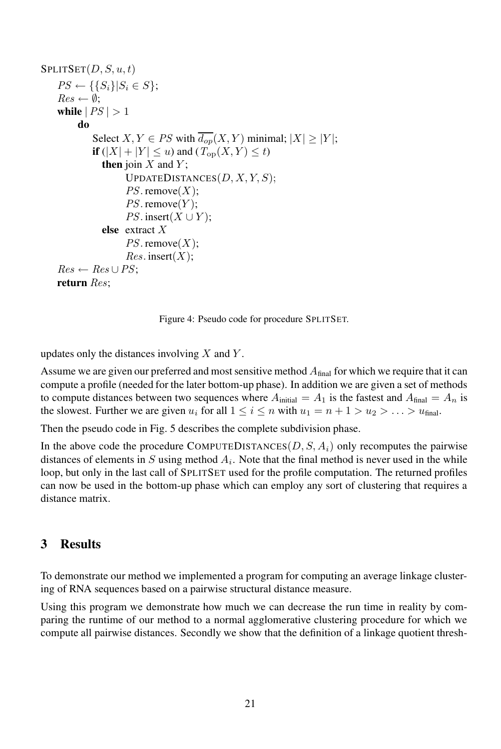```
SPLITSET(D, S, u, t)PS \leftarrow \{\{S_i\} | S_i \in S \};Res \leftarrow \emptyset;while |PS| > 1do
         Select X, Y \in PS with \overline{d_{op}}(X, Y) minimal; |X| \ge |Y|;
         if (|X| + |Y| \le u) and (T_{op}(X, Y) \le t)
           then join X and Y;
                 UPDATEDISTANCES(D, X, Y, S);PS. remove(X);
                 PS. remove(Y);
                 PS. insert(X \cup Y);
           else extract X
                 PS. remove(X);
                 Res.\,insert(X);Res \leftarrow Res \cup PS;return Res;
```
Figure 4: Pseudo code for procedure SPLITSET.

updates only the distances involving  $X$  and  $Y$ .

Assume we are given our preferred and most sensitive method  $A<sub>final</sub>$  for which we require that it can compute a profile (needed for the later bottom-up phase). In addition we are given a set of methods to compute distances between two sequences where  $A_{initial} = A_1$  is the fastest and  $A_{final} = A_n$  is the slowest. Further we are given  $u_i$  for all  $1 \leq i \leq n$  with  $u_1 = n + 1 > u_2 > \ldots > u_{\text{final}}$ .

Then the pseudo code in Fig. 5 describes the complete subdivision phase.

In the above code the procedure COMPUTEDISTANCES $(D, S, A_i)$  only recomputes the pairwise distances of elements in S using method  $A_i$ . Note that the final method is never used in the while loop, but only in the last call of SPLITSET used for the profile computation. The returned profiles can now be used in the bottom-up phase which can employ any sort of clustering that requires a distance matrix.

#### **3 Results**

To demonstrate our method we implemented a program for computing an average linkage clustering of RNA sequences based on a pairwise structural distance measure.

Using this program we demonstrate how much we can decrease the run time in reality by comparing the runtime of our method to a normal agglomerative clustering procedure for which we compute all pairwise distances. Secondly we show that the definition of a linkage quotient thresh-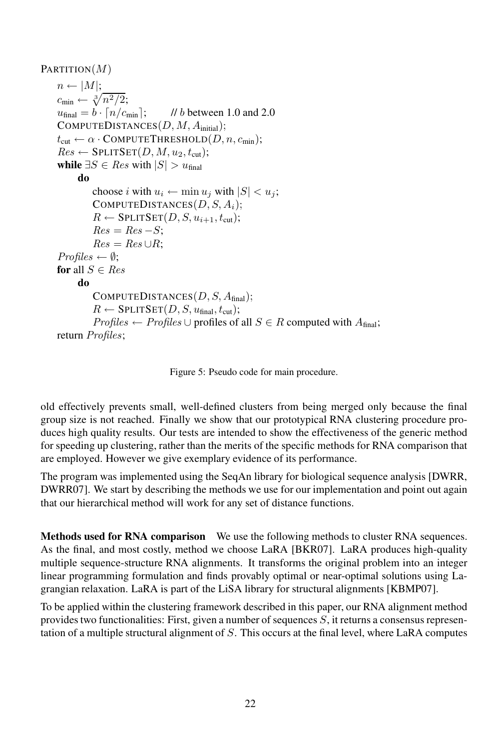```
PARTITION(M)n \leftarrow |M|;c_{\min} \leftarrow \sqrt[3]{n^2/2};u_{\text{final}} = b \cdot \lceil n/c_{\text{min}} \rceil; // b between 1.0 and 2.0
COMPUTEDISTANCES(D, M, A_{initial});
t_{\text{cut}} \leftarrow \alpha \cdot \text{COMPUTETHRESHOLD}(D, n, c_{\text{min}});Res \leftarrow SPLITSET(D, M, u_2, t_{cut});while \exists S \in Res with |S| > u<sub>final</sub>
      do
           choose i with u_i \leftarrow \min u_j with |S| < u_j;
           COMPUTEDISTANCES(D, S, A_i);R \leftarrow SPLITSET(D, S, u_{i+1}, t_{\text{cut}});Res = Res - S;Res = Res \cup R;
 Profiles \leftarrow \emptyset;for all S \in Resdo
           COMPUTEDISTANCES(D, S, A_{final});R \leftarrow SPLITSET(D, S, u_{final}, t_{cut});Profiles \leftarrow Profiles \cup profiles of all S \in R computed with A_{final};
return Profiles;
```
Figure 5: Pseudo code for main procedure.

old effectively prevents small, well-defined clusters from being merged only because the final group size is not reached. Finally we show that our prototypical RNA clustering procedure produces high quality results. Our tests are intended to show the effectiveness of the generic method for speeding up clustering, rather than the merits of the specific methods for RNA comparison that are employed. However we give exemplary evidence of its performance.

The program was implemented using the SeqAn library for biological sequence analysis [DWRR, DWRR07]. We start by describing the methods we use for our implementation and point out again that our hierarchical method will work for any set of distance functions.

**Methods used for RNA comparison** We use the following methods to cluster RNA sequences. As the final, and most costly, method we choose LaRA [BKR07]. LaRA produces high-quality multiple sequence-structure RNA alignments. It transforms the original problem into an integer linear programming formulation and finds provably optimal or near-optimal solutions using Lagrangian relaxation. LaRA is part of the LiSA library for structural alignments [KBMP07].

To be applied within the clustering framework described in this paper, our RNA alignment method provides two functionalities: First, given a number of sequences  $S$ , it returns a consensus representation of a multiple structural alignment of  $S$ . This occurs at the final level, where LaRA computes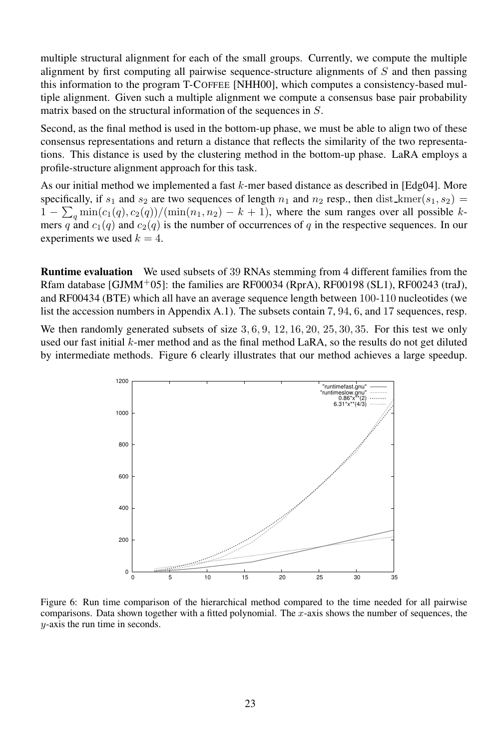multiple structural alignment for each of the small groups. Currently, we compute the multiple alignment by first computing all pairwise sequence-structure alignments of  $S$  and then passing this information to the program T-COFFEE [NHH00], which computes a consistency-based multiple alignment. Given such a multiple alignment we compute a consensus base pair probability matrix based on the structural information of the sequences in S.

Second, as the final method is used in the bottom-up phase, we must be able to align two of these consensus representations and return a distance that reflects the similarity of the two representations. This distance is used by the clustering method in the bottom-up phase. LaRA employs a profile-structure alignment approach for this task.

As our initial method we implemented a fast k-mer based distance as described in [Edg04]. More specifically, if  $s_1$  and  $s_2$  are two sequences of length  $n_1$  and  $n_2$  resp., then dist\_kmer( $s_1, s_2$ ) =  $1 - \sum_q \min(c_1(q), c_2(q)) / (\min(n_1, n_2) - k + 1)$ , where the sum ranges over all possible kmers q and  $c_1(q)$  and  $c_2(q)$  is the number of occurrences of q in the respective sequences. In our experiments we used  $k = 4$ .

**Runtime evaluation** We used subsets of 39 RNAs stemming from 4 different families from the Rfam database [GJMM<sup>+</sup>05]: the families are RF00034 (RprA), RF00198 (SL1), RF00243 (traJ), and RF00434 (BTE) which all have an average sequence length between 100-110 nucleotides (we list the accession numbers in Appendix A.1). The subsets contain 7, 94, 6, and 17 sequences, resp.

We then randomly generated subsets of size 3, 6, 9, 12, 16, 20, 25, 30, 35. For this test we only used our fast initial  $k$ -mer method and as the final method LaRA, so the results do not get diluted by intermediate methods. Figure 6 clearly illustrates that our method achieves a large speedup.



Figure 6: Run time comparison of the hierarchical method compared to the time needed for all pairwise comparisons. Data shown together with a fitted polynomial. The  $x$ -axis shows the number of sequences, the y-axis the run time in seconds.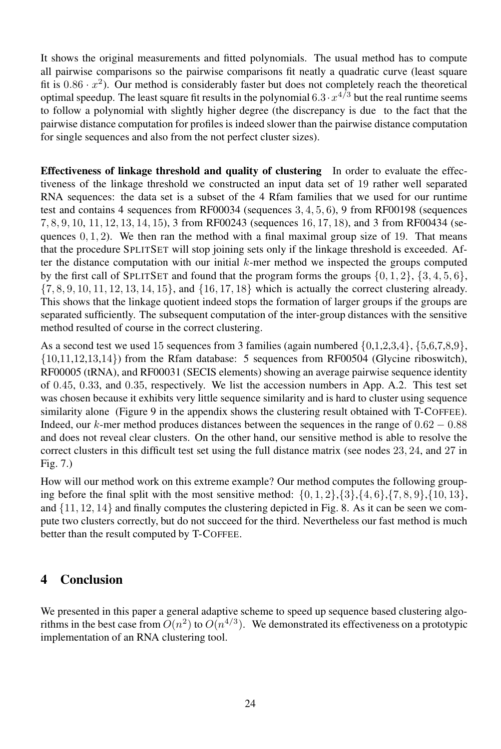It shows the original measurements and fitted polynomials. The usual method has to compute all pairwise comparisons so the pairwise comparisons fit neatly a quadratic curve (least square fit is  $0.86 \cdot x^2$ ). Our method is considerably faster but does not completely reach the theoretical optimal speedup. The least square fit results in the polynomial  $6.3 \cdot x^{4/3}$  but the real runtime seems to follow a polynomial with slightly higher degree (the discrepancy is due to the fact that the pairwise distance computation for profiles is indeed slower than the pairwise distance computation for single sequences and also from the not perfect cluster sizes).

**Effectiveness of linkage threshold and quality of clustering** In order to evaluate the effectiveness of the linkage threshold we constructed an input data set of 19 rather well separated RNA sequences: the data set is a subset of the 4 Rfam families that we used for our runtime test and contains 4 sequences from RF00034 (sequences 3, 4, 5, 6), 9 from RF00198 (sequences 7, 8, 9, 10, 11, 12, 13, 14, 15), 3 from RF00243 (sequences 16, 17, 18), and 3 from RF00434 (sequences  $(0, 1, 2)$ . We then ran the method with a final maximal group size of 19. That means that the procedure SPLITSET will stop joining sets only if the linkage threshold is exceeded. After the distance computation with our initial  $k$ -mer method we inspected the groups computed by the first call of SPLITSET and found that the program forms the groups  $\{0, 1, 2\}$ ,  $\{3, 4, 5, 6\}$ ,  $\{7, 8, 9, 10, 11, 12, 13, 14, 15\}$ , and  $\{16, 17, 18\}$  which is actually the correct clustering already. This shows that the linkage quotient indeed stops the formation of larger groups if the groups are separated sufficiently. The subsequent computation of the inter-group distances with the sensitive method resulted of course in the correct clustering.

As a second test we used 15 sequences from 3 families (again numbered  $\{0,1,2,3,4\}$ ,  $\{5,6,7,8,9\}$ ,  $\{10,11,12,13,14\}$  from the Rfam database: 5 sequences from RF00504 (Glycine riboswitch), RF00005 (tRNA), and RF00031 (SECIS elements) showing an average pairwise sequence identity of 0.45, 0.33, and 0.35, respectively. We list the accession numbers in App. A.2. This test set was chosen because it exhibits very little sequence similarity and is hard to cluster using sequence similarity alone (Figure 9 in the appendix shows the clustering result obtained with T-COFFEE). Indeed, our k-mer method produces distances between the sequences in the range of  $0.62 - 0.88$ and does not reveal clear clusters. On the other hand, our sensitive method is able to resolve the correct clusters in this difficult test set using the full distance matrix (see nodes 23, 24, and 27 in Fig. 7.)

How will our method work on this extreme example? Our method computes the following grouping before the final split with the most sensitive method:  $\{0, 1, 2\}$ , $\{3\}$ , $\{4, 6\}$ , $\{7, 8, 9\}$ , $\{10, 13\}$ , and  $\{11, 12, 14\}$  and finally computes the clustering depicted in Fig. 8. As it can be seen we compute two clusters correctly, but do not succeed for the third. Nevertheless our fast method is much better than the result computed by T-COFFEE.

## **4 Conclusion**

We presented in this paper a general adaptive scheme to speed up sequence based clustering algorithms in the best case from  $O(n^2)$  to  $O(n^{4/3})$ . We demonstrated its effectiveness on a prototypic implementation of an RNA clustering tool.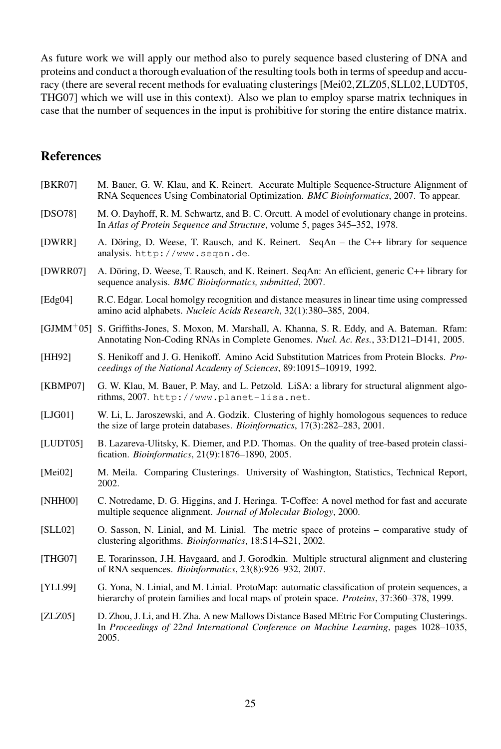As future work we will apply our method also to purely sequence based clustering of DNA and proteins and conduct a thorough evaluation of the resulting tools both in terms of speedup and accuracy (there are several recent methods for evaluating clusterings [Mei02,ZLZ05,SLL02,LUDT05, THG07] which we will use in this context). Also we plan to employ sparse matrix techniques in case that the number of sequences in the input is prohibitive for storing the entire distance matrix.

# **References**

| BKR07    | M. Bauer, G. W. Klau, and K. Reinert. Accurate Multiple Sequence-Structure Alignment of<br>RNA Sequences Using Combinatorial Optimization. BMC Bioinformatics, 2007. To appear.                              |
|----------|--------------------------------------------------------------------------------------------------------------------------------------------------------------------------------------------------------------|
| [DSO78]  | M. O. Dayhoff, R. M. Schwartz, and B. C. Orcutt. A model of evolutionary change in proteins.<br>In Atlas of Protein Sequence and Structure, volume 5, pages 345–352, 1978.                                   |
| [DWRR]   | A. Döring, D. Weese, T. Rausch, and K. Reinert. SeqAn – the C++ library for sequence<br>analysis. http://www.seqan.de.                                                                                       |
| [DWRR07] | A. Döring, D. Weese, T. Rausch, and K. Reinert. SegAn: An efficient, generic C++ library for<br>sequence analysis. BMC Bioinformatics, submitted, 2007.                                                      |
| [Edg04]  | R.C. Edgar. Local homolgy recognition and distance measures in linear time using compressed<br>amino acid alphabets. Nucleic Acids Research, 32(1):380-385, 2004.                                            |
|          | [GJMM <sup>+05]</sup> S. Griffiths-Jones, S. Moxon, M. Marshall, A. Khanna, S. R. Eddy, and A. Bateman. Rfam:<br>Annotating Non-Coding RNAs in Complete Genomes. <i>Nucl. Ac. Res.</i> , 33:D121–D141, 2005. |
| [HH92]   | S. Henikoff and J. G. Henikoff. Amino Acid Substitution Matrices from Protein Blocks. <i>Pro-</i><br>ceedings of the National Academy of Sciences, 89:10915-10919, 1992.                                     |
| [KBMP07] | G. W. Klau, M. Bauer, P. May, and L. Petzold. LiSA: a library for structural alignment algo-<br>rithms, 2007. http://www.planet-lisa.net.                                                                    |
| [LJG01]  | W. Li, L. Jaroszewski, and A. Godzik. Clustering of highly homologous sequences to reduce<br>the size of large protein databases. <i>Bioinformatics</i> , 17(3):282–283, 2001.                               |
| [LUDT05] | B. Lazareva-Ulitsky, K. Diemer, and P.D. Thomas. On the quality of tree-based protein classi-<br>fication. Bioinformatics, 21(9):1876-1890, 2005.                                                            |
| [Mei02]  | M. Meila. Comparing Clusterings. University of Washington, Statistics, Technical Report,<br>2002.                                                                                                            |
| [NHH00]  | C. Notredame, D. G. Higgins, and J. Heringa. T-Coffee: A novel method for fast and accurate<br>multiple sequence alignment. <i>Journal of Molecular Biology</i> , 2000.                                      |
| [SLL02]  | O. Sasson, N. Linial, and M. Linial. The metric space of proteins – comparative study of<br>clustering algorithms. Bioinformatics, 18:S14-S21, 2002.                                                         |
| [THG07]  | E. Torarinsson, J.H. Havgaard, and J. Gorodkin. Multiple structural alignment and clustering<br>of RNA sequences. Bioinformatics, 23(8):926-932, 2007.                                                       |
| [YLL99]  | G. Yona, N. Linial, and M. Linial. ProtoMap: automatic classification of protein sequences, a<br>hierarchy of protein families and local maps of protein space. <i>Proteins</i> , 37:360–378, 1999.          |
| [ZLZ05]  | D. Zhou, J. Li, and H. Zha. A new Mallows Distance Based MEtric For Computing Clusterings.<br>In Proceedings of 22nd International Conference on Machine Learning, pages 1028-1035,<br>2005.                 |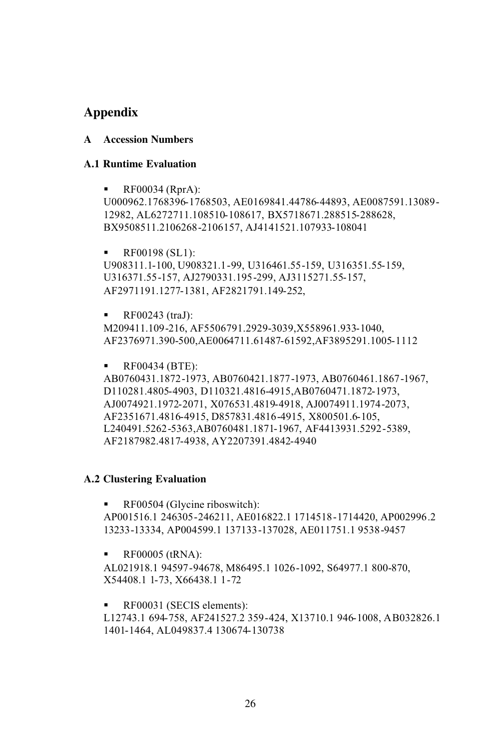# **A**

# **Appendix<br>A** Accession Numbers

#### **Runtime Evaluation**

 $\blacksquare$  RF00034 (RprA):

U000962.1768396-1768503, AE0169841.44786-44893, AE0087591.13089- 12982, AL6272711.108510-108617, BX5718671.288515-288628, BX9508511.2106268 -2106157, AJ4141521.107933-108041

© RF00198 (SL1):

U908311.1-100, U908321.1-99, U316461.55-159, U316351.55-159, U316371.55-157, AJ2790331.195-299, AJ3115271.55-157, AF2971191.1277-1381, AF2821791.149-252,

© RF00243 (traJ):

M209411.109-216, AF5506791.2929-3039,X558961.933-1040, AF2376971.390-500,AE0064711.61487-61592,AF3895291.1005-1112

**•** RF00434 (BTE):

AB0760431.1872-1973, AB0760421.1877-1973, AB0760461.1867-1967, D110281.4805-4903, D110321.4816-4915,AB0760471.1872-1973, AJ0074921.1972-2071, X076531.4819-4918, AJ0074911.1974-2073, AF2351671.4816-4915, D857831.4816-4915, X800501.6-105, L240491.5262-5363,AB0760481.1871-1967, AF4413931.5292-5389, AF2187982.4817-4938, AY2207391.4842-4940

#### **Clustering Evaluation**

RF00504 (Glycine riboswitch): AP001516.1 246305-246211, AE016822.1 1714518-1714420, AP002996.2 13233-13334, AP004599.1 137133-137028, AE011751.1 9538-9457

© RF00005 (tRNA):

AL021918.1 94597-94678, M86495.1 1026-1092, S64977.1 800-870, X54408.1 1-73, X66438.1 1-72

■ RF00031 (SECIS elements):

L12743.1 694-758, AF241527.2 359-424, X13710.1 946-1008, AB032826.1 1401-1464, AL049837.4 130674-130738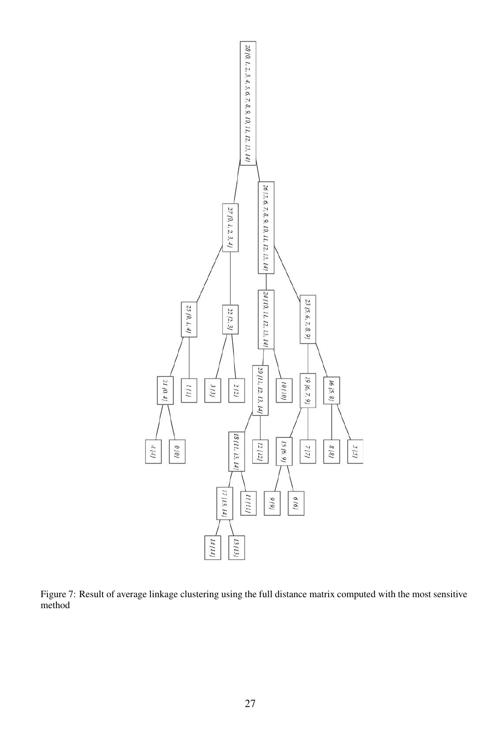

Figure 7: Result of average linkage clustering using the full distance matrix computed with the most sensitive method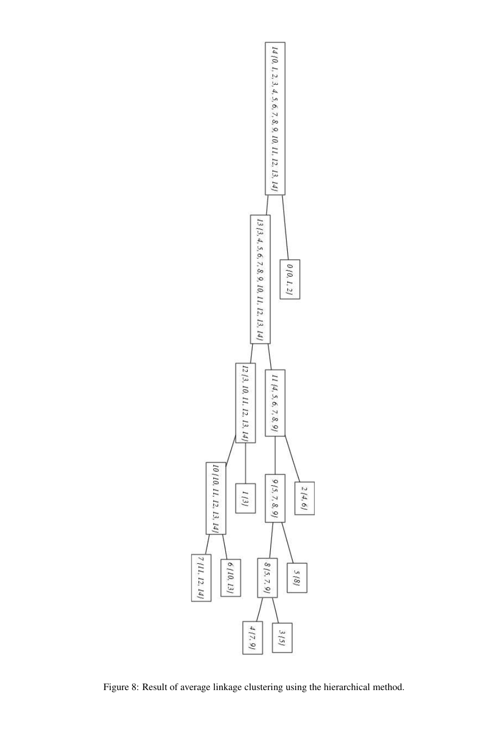

Figure 8: Result of average linkage clustering using the hierarchical method.